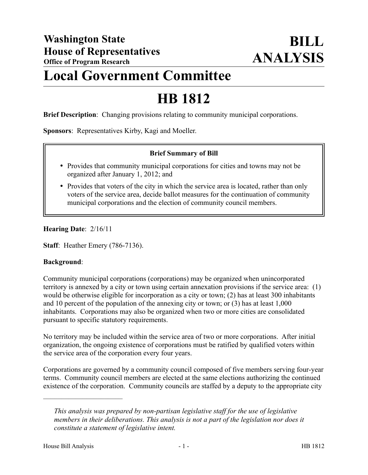## **Local Government Committee**

# **HB 1812**

**Brief Description**: Changing provisions relating to community municipal corporations.

**Sponsors**: Representatives Kirby, Kagi and Moeller.

## **Brief Summary of Bill**

- Provides that community municipal corporations for cities and towns may not be organized after January 1, 2012; and
- Provides that voters of the city in which the service area is located, rather than only voters of the service area, decide ballot measures for the continuation of community municipal corporations and the election of community council members.

**Hearing Date**: 2/16/11

**Staff**: Heather Emery (786-7136).

#### **Background**:

Community municipal corporations (corporations) may be organized when unincorporated territory is annexed by a city or town using certain annexation provisions if the service area: (1) would be otherwise eligible for incorporation as a city or town; (2) has at least 300 inhabitants and 10 percent of the population of the annexing city or town; or (3) has at least 1,000 inhabitants. Corporations may also be organized when two or more cities are consolidated pursuant to specific statutory requirements.

No territory may be included within the service area of two or more corporations. After initial organization, the ongoing existence of corporations must be ratified by qualified voters within the service area of the corporation every four years.

Corporations are governed by a community council composed of five members serving four-year terms. Community council members are elected at the same elections authorizing the continued existence of the corporation. Community councils are staffed by a deputy to the appropriate city

––––––––––––––––––––––

*This analysis was prepared by non-partisan legislative staff for the use of legislative members in their deliberations. This analysis is not a part of the legislation nor does it constitute a statement of legislative intent.*